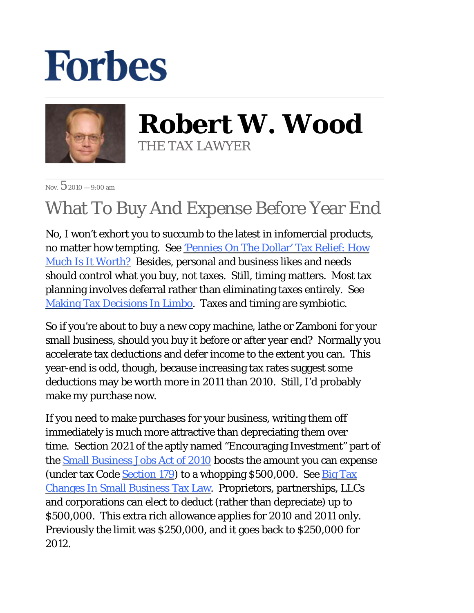## **Forbes**



**Robert W. Wood** THE TAX LAWYER

Nov.  $52010 - 9:00$  am |

## What To Buy And Expense Before Year End

No, I won't exhort you to succumb to the latest in infomercial products, no matter how tempting. See 'Pennies On The Dollar' Tax Relief: How Much Is It Worth? Besides, personal and business likes and needs should control what you buy, not taxes. Still, timing matters. Most tax planning involves deferral rather than eliminating taxes entirely. See Making Tax Decisions In Limbo. Taxes and timing are symbiotic.

So if you're about to buy a new copy machine, lathe or Zamboni for your small business, should you buy it before or after year end? Normally you accelerate tax deductions and defer income to the extent you can. This year-end is odd, though, because increasing tax rates suggest some deductions may be worth more in 2011 than 2010. Still, I'd probably make my purchase now.

If you need to make purchases for your business, writing them off immediately is much more attractive than depreciating them over time. Section 2021 of the aptly named "Encouraging Investment" part of the Small Business Jobs Act of 2010 boosts the amount you can expense (under tax Code Section 179) to a whopping  $$500,000$ . See Big Tax Changes In Small Business Tax Law. Proprietors, partnerships, LLCs and corporations can elect to deduct (rather than depreciate) up to \$500,000. This extra rich allowance applies for 2010 and 2011 only. Previously the limit was \$250,000, and it goes back to \$250,000 for 2012.